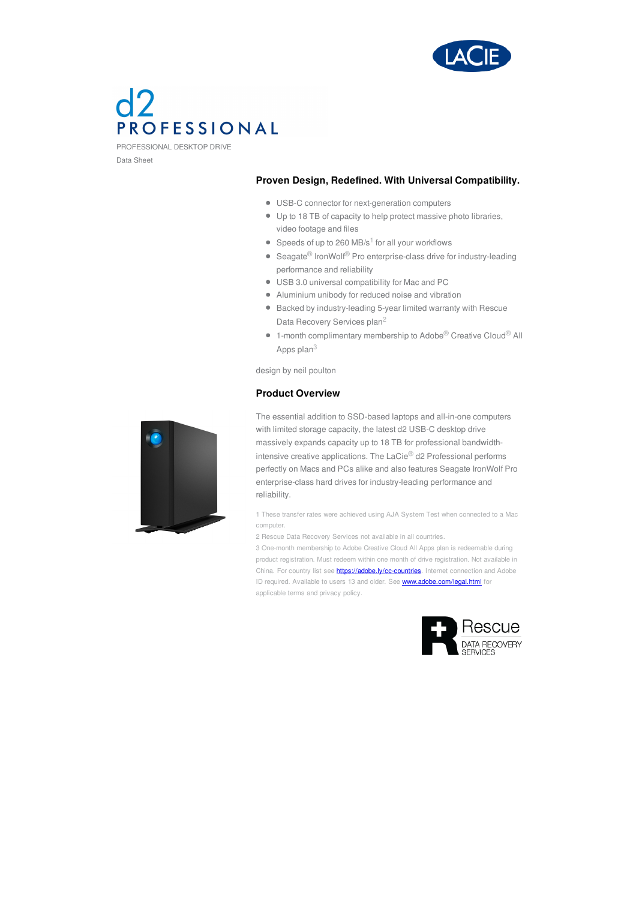

# PROFESSIONAL

PROFESSIONAL DESKTOP DRIVE Data Sheet

# **Proven Design, Redefined. With Universal Compatibility.**

- USB-C connector for next-generation computers
- Up to 18 TB of capacity to help protect massive photo libraries, video footage and files
- Speeds of up to 260 MB/s $1$  for all your workflows
- $\bullet$  Seagate<sup>®</sup> IronWolf<sup>®</sup> Pro enterprise-class drive for industry-leading performance and reliability
- USB 3.0 universal compatibility for Mac and PC
- Aluminium unibody for reduced noise and vibration
- Backed by industry-leading 5-year limited warranty with Rescue Data Recovery Services plan<sup>2</sup>
- 1-month complimentary membership to Adobe<sup>®</sup> Creative Cloud<sup>®</sup> All Apps plan $^3\,$

design by neil poulton

# **Product Overview**



The essential addition to SSD-based laptops and all-in-one computers with limited storage capacity, the latest d2 USB-C desktop drive massively expands capacity up to 18 TB for professional bandwidthintensive creative applications. The LaCie® d2 Professional performs perfectly on Macs and PCs alike and also features Seagate IronWolf Pro enterprise-class hard drives for industry-leading performance and reliability.

1 These transfer rates were achieved using AJA System Test when connected to a Mac computer.

2 Rescue Data Recovery Services not available in all countries.

3 One-month membership to Adobe Creative Cloud All Apps plan is redeemable during product registration. Must redeem within one month of drive registration. Not available in China. For country list see **<https://adobe.ly/cc-countries>**. Internet connection and Adobe ID required. Available to users 13 and older. See **<www.adobe.com/legal.html>** for applicable terms and privacy policy.